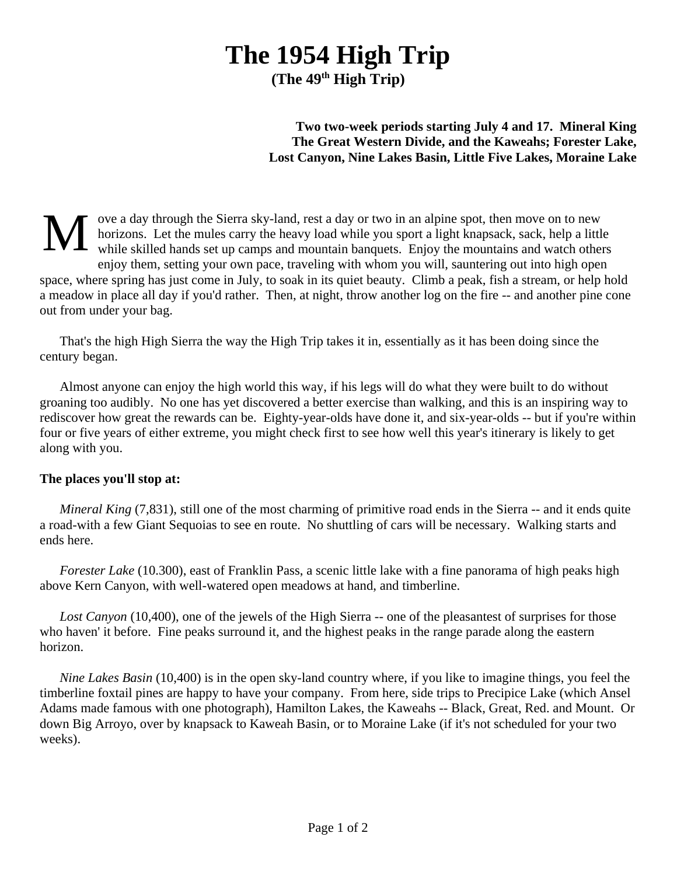## **The 1954 High Trip**

**(The 49th High Trip)**

## **Two two-week periods starting July 4 and 17. Mineral King The Great Western Divide, and the Kaweahs; Forester Lake, Lost Canyon, Nine Lakes Basin, Little Five Lakes, Moraine Lake**

M ove a day through the Sierra sky-land, rest a day or two in an alpine spot, then move on to new horizons. Let the mules carry the heavy load while you sport a light knapsack, sack, help a little while skilled hands set up camps and mountain banquets. Enjoy the mountains and watch others enjoy them, setting your own pace, traveling with whom you will, sauntering out into high open space, where spring has just come in July, to soak in its quiet beauty. Climb a peak, fish a stream, or help hold a meadow in place all day if you'd rather. Then, at night, throw another log on the fire -- and another pine cone out from under your bag.

That's the high High Sierra the way the High Trip takes it in, essentially as it has been doing since the century began.

Almost anyone can enjoy the high world this way, if his legs will do what they were built to do without groaning too audibly. No one has yet discovered a better exercise than walking, and this is an inspiring way to rediscover how great the rewards can be. Eighty-year-olds have done it, and six-year-olds -- but if you're within four or five years of either extreme, you might check first to see how well this year's itinerary is likely to get along with you.

## **The places you'll stop at:**

*Mineral King* (7,831), still one of the most charming of primitive road ends in the Sierra -- and it ends quite a road-with a few Giant Sequoias to see en route. No shuttling of cars will be necessary. Walking starts and ends here.

*Forester Lake* (10.300), east of Franklin Pass, a scenic little lake with a fine panorama of high peaks high above Kern Canyon, with well-watered open meadows at hand, and timberline.

*Lost Canyon* (10,400), one of the jewels of the High Sierra -- one of the pleasantest of surprises for those who haven' it before. Fine peaks surround it, and the highest peaks in the range parade along the eastern horizon.

*Nine Lakes Basin* (10,400) is in the open sky-land country where, if you like to imagine things, you feel the timberline foxtail pines are happy to have your company. From here, side trips to Precipice Lake (which Ansel Adams made famous with one photograph), Hamilton Lakes, the Kaweahs -- Black, Great, Red. and Mount. Or down Big Arroyo, over by knapsack to Kaweah Basin, or to Moraine Lake (if it's not scheduled for your two weeks).